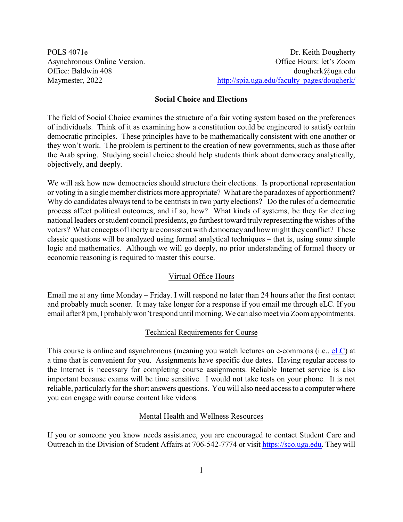POLS 4071e Dr. Keith Dougherty Asynchronous Online Version. Office Hours: let's Zoom Office: Baldwin 408 dougherk@uga.edu Maymester, 2022 [http://spia.uga.edu/faculty\\_pages/dougherk/](http://spia.uga.edu/faculty_pages/dougherk/)

### **Social Choice and Elections**

The field of Social Choice examines the structure of a fair voting system based on the preferences of individuals. Think of it as examining how a constitution could be engineered to satisfy certain democratic principles. These principles have to be mathematically consistent with one another or they won't work. The problem is pertinent to the creation of new governments, such as those after the Arab spring. Studying social choice should help students think about democracy analytically, objectively, and deeply.

We will ask how new democracies should structure their elections. Is proportional representation or voting in a single member districts more appropriate? What are the paradoxes of apportionment? Why do candidates always tend to be centrists in two party elections? Do the rules of a democratic process affect political outcomes, and if so, how? What kinds of systems, be they for electing national leaders or student council presidents, go furthest toward truly representing the wishes of the voters? What concepts of liberty are consistent with democracyand how might they conflict? These classic questions will be analyzed using formal analytical techniques – that is, using some simple logic and mathematics. Although we will go deeply, no prior understanding of formal theory or economic reasoning is required to master this course.

## Virtual Office Hours

Email me at any time Monday – Friday. I will respond no later than 24 hours after the first contact and probably much sooner. It may take longer for a response if you email me through eLC. If you email after 8 pm, I probablywon't respond until morning. We can also meet via Zoom appointments.

## Technical Requirements for Course

This course is online and asynchronous (meaning you watch lectures on e-commons (i.e., [eLC](https://uga.view.usg.edu/d2l/login)) at a time that is convenient for you. Assignments have specific due dates. Having regular access to the Internet is necessary for completing course assignments. Reliable Internet service is also important because exams will be time sensitive. I would not take tests on your phone. It is not reliable, particularly for the short answers questions. You will also need access to a computer where you can engage with course content like videos.

## Mental Health and Wellness Resources

If you or someone you know needs assistance, you are encouraged to contact Student Care and Outreach in the Division of Student Affairs at 706-542-7774 or visit<https://sco.uga.edu>. They will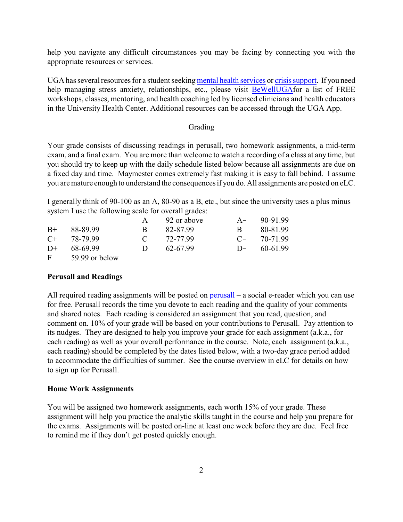help you navigate any difficult circumstances you may be facing by connecting you with the appropriate resources or services.

UGA has several resources for a student seeking [mental health services](https://www.uhs.uga.edu/bewelluga/bewelluga) or [crisis support](https://www.uhs.uga.edu/info/emergencies). If you need help managing stress anxiety, relationships, etc., please visit [BeWellUGA](https://www.uhs.uga.edu/bewelluga/bewelluga)for a list of FREE workshops, classes, mentoring, and health coaching led by licensed clinicians and health educators in the University Health Center. Additional resources can be accessed through the UGA App.

## Grading

Your grade consists of discussing readings in perusall, two homework assignments, a mid-term exam, and a final exam. You are more than welcome to watch a recording of a class at any time, but you should try to keep up with the daily schedule listed below because all assignments are due on a fixed day and time. Maymester comes extremely fast making it is easy to fall behind. I assume you are mature enough to understand the consequences if you do. All assignments are posted on eLC.

I generally think of 90-100 as an A, 80-90 as a B, etc., but since the university uses a plus minus system I use the following scale for overall grades:

|           |                |               | 92 or above |      | $A - 90-91.99$ |
|-----------|----------------|---------------|-------------|------|----------------|
| $B+$      | 88-89.99       | B.            | 82-87.99    | $R-$ | 80-81.99       |
| $C_{\pm}$ | 78-79 99       | $\mathcal{C}$ | 72-77.99    | $C-$ | 70-71.99       |
| $D+$      | 68-69.99       | $\mathbf{D}$  | 62-67.99    | $D-$ | 60-61.99       |
| F.        | 59.99 or below |               |             |      |                |

#### **Perusall and Readings**

All required reading assignments will be posted on [perusall](https://www.perusall.com/)  $-$  a social e-reader which you can use for free. Perusall records the time you devote to each reading and the quality of your comments and shared notes. Each reading is considered an assignment that you read, question, and comment on. 10% of your grade will be based on your contributions to Perusall. Pay attention to its nudges. They are designed to help you improve your grade for each assignment (a.k.a., for each reading) as well as your overall performance in the course. Note, each assignment (a.k.a., each reading) should be completed by the dates listed below, with a two-day grace period added to accommodate the difficulties of summer. See the course overview in eLC for details on how to sign up for Perusall.

#### **Home Work Assignments**

You will be assigned two homework assignments, each worth 15% of your grade. These assignment will help you practice the analytic skills taught in the course and help you prepare for the exams. Assignments will be posted on-line at least one week before they are due. Feel free to remind me if they don't get posted quickly enough.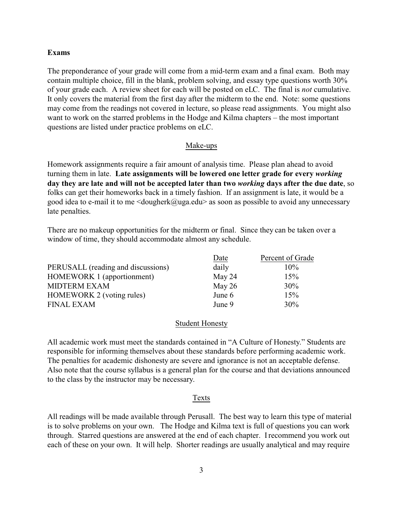#### **Exams**

The preponderance of your grade will come from a mid-term exam and a final exam. Both may contain multiple choice, fill in the blank, problem solving, and essay type questions worth 30% of your grade each. A review sheet for each will be posted on eLC. The final is *not* cumulative. It only covers the material from the first day after the midterm to the end. Note: some questions may come from the readings not covered in lecture, so please read assignments. You might also want to work on the starred problems in the Hodge and Kilma chapters – the most important questions are listed under practice problems on eLC.

### Make-ups

Homework assignments require a fair amount of analysis time. Please plan ahead to avoid turning them in late. **Late assignments will be lowered one letter grade for every** *working* **day they are late and will not be accepted later than two** *working* **days after the due date**, so folks can get their homeworks back in a timely fashion. If an assignment is late, it would be a good idea to e-mail it to me  $\langle \text{dougherk}(\omega)\rangle$  as soon as possible to avoid any unnecessary late penalties.

There are no makeup opportunities for the midterm or final. Since they can be taken over a window of time, they should accommodate almost any schedule.

|                                    | Date     | Percent of Grade |
|------------------------------------|----------|------------------|
| PERUSALL (reading and discussions) | daily    | $10\%$           |
| <b>HOMEWORK 1 (apportionment)</b>  | May 24   | 15%              |
| <b>MIDTERM EXAM</b>                | May $26$ | 30%              |
| HOMEWORK 2 (voting rules)          | June 6   | 15%              |
| <b>FINAL EXAM</b>                  | June 9   | 30%              |

#### Student Honesty

All academic work must meet the standards contained in "A Culture of Honesty." Students are responsible for informing themselves about these standards before performing academic work. The penalties for academic dishonesty are severe and ignorance is not an acceptable defense. Also note that the course syllabus is a general plan for the course and that deviations announced to the class by the instructor may be necessary.

#### Texts

All readings will be made available through Perusall. The best way to learn this type of material is to solve problems on your own. The Hodge and Kilma text is full of questions you can work through. Starred questions are answered at the end of each chapter. I recommend you work out each of these on your own. It will help. Shorter readings are usually analytical and may require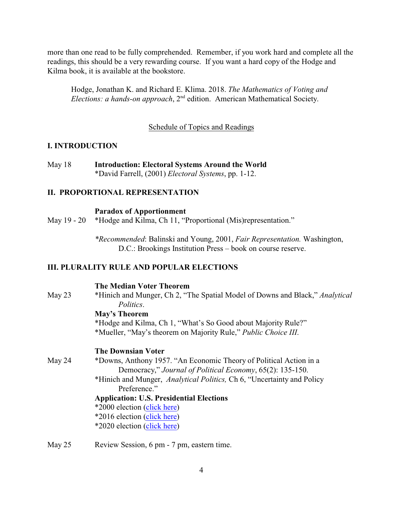more than one read to be fully comprehended. Remember, if you work hard and complete all the readings, this should be a very rewarding course. If you want a hard copy of the Hodge and Kilma book, it is available at the bookstore.

Hodge, Jonathan K. and Richard E. Klima. 2018. *The Mathematics of Voting and* Elections: a hands-on approach, 2<sup>nd</sup> edition. American Mathematical Society.

#### Schedule of Topics and Readings

#### **I. INTRODUCTION**

May 18 **Introduction: Electoral Systems Around the World** \*David Farrell, (2001) *Electoral Systems*, pp. 1-12.

## **II. PROPORTIONAL REPRESENTATION**

#### **Paradox of Apportionment**

May 19 - 20 \*Hodge and Kilma, Ch 11, "Proportional (Mis) representation."

*\*Recommended*: Balinski and Young, 2001, *Fair Representation.* Washington, D.C.: Brookings Institution Press – book on course reserve.

#### **III. PLURALITY RULE AND POPULAR ELECTIONS**

**The Median Voter Theorem**

May 23 \*Hinich and Munger, Ch 2, "The Spatial Model of Downs and Black," *Analytical Politics*. **May's Theorem**

> \*Hodge and Kilma, Ch 1, "What's So Good about Majority Rule?" \*Mueller, "May's theorem on Majority Rule," *Public Choice III*.

#### **The Downsian Voter**

- May 24 \*Downs, Anthony 1957. "An Economic Theory of Political Action in a Democracy," *Journal of Political Economy*, 65(2): 135-150.
	- \*Hinich and Munger, *Analytical Politics,* Ch 6, "Uncertainty and Policy Preference"

#### **Application: U.S. Presidential Elections**

\*2000 election [\(click here](http://en.wikipedia.org/wiki/United_States_presidential_election,_2000))

- \*2016 election [\(click here](https://ballotpedia.org/Presidential_election,_2016))
- \*2020 election [\(click here](https://ballotpedia.org/Presidential_election,_2020))
- May 25 Review Session, 6 pm 7 pm, eastern time.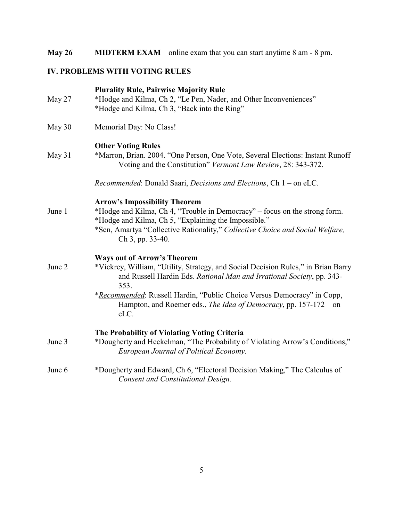# **May 26 MIDTERM EXAM** – online exam that you can start anytime 8 am - 8 pm.

# **IV. PROBLEMS WITH VOTING RULES**

|        | <b>Plurality Rule, Pairwise Majority Rule</b>                                                                                                                                                                                                                                                                                                                            |
|--------|--------------------------------------------------------------------------------------------------------------------------------------------------------------------------------------------------------------------------------------------------------------------------------------------------------------------------------------------------------------------------|
| May 27 | *Hodge and Kilma, Ch 2, "Le Pen, Nader, and Other Inconveniences"<br>*Hodge and Kilma, Ch 3, "Back into the Ring"                                                                                                                                                                                                                                                        |
| May 30 | Memorial Day: No Class!                                                                                                                                                                                                                                                                                                                                                  |
| May 31 | <b>Other Voting Rules</b><br>*Marron, Brian. 2004. "One Person, One Vote, Several Elections: Instant Runoff<br>Voting and the Constitution" Vermont Law Review, 28: 343-372.                                                                                                                                                                                             |
|        | Recommended: Donald Saari, Decisions and Elections, Ch 1 – on eLC.                                                                                                                                                                                                                                                                                                       |
| June 1 | <b>Arrow's Impossibility Theorem</b><br>*Hodge and Kilma, Ch 4, "Trouble in Democracy" - focus on the strong form.<br>*Hodge and Kilma, Ch 5, "Explaining the Impossible."<br>*Sen, Amartya "Collective Rationality," Collective Choice and Social Welfare,<br>Ch 3, pp. 33-40.                                                                                          |
| June 2 | <b>Ways out of Arrow's Theorem</b><br>*Vickrey, William, "Utility, Strategy, and Social Decision Rules," in Brian Barry<br>and Russell Hardin Eds. Rational Man and Irrational Society, pp. 343-<br>353.<br>*Recommended: Russell Hardin, "Public Choice Versus Democracy" in Copp,<br>Hampton, and Roemer eds., <i>The Idea of Democracy</i> , pp. 157-172 – on<br>eLC. |
| June 3 | The Probability of Violating Voting Criteria<br>*Dougherty and Heckelman, "The Probability of Violating Arrow's Conditions,"<br>European Journal of Political Economy.                                                                                                                                                                                                   |
| June 6 | *Dougherty and Edward, Ch 6, "Electoral Decision Making," The Calculus of<br>Consent and Constitutional Design.                                                                                                                                                                                                                                                          |
|        |                                                                                                                                                                                                                                                                                                                                                                          |